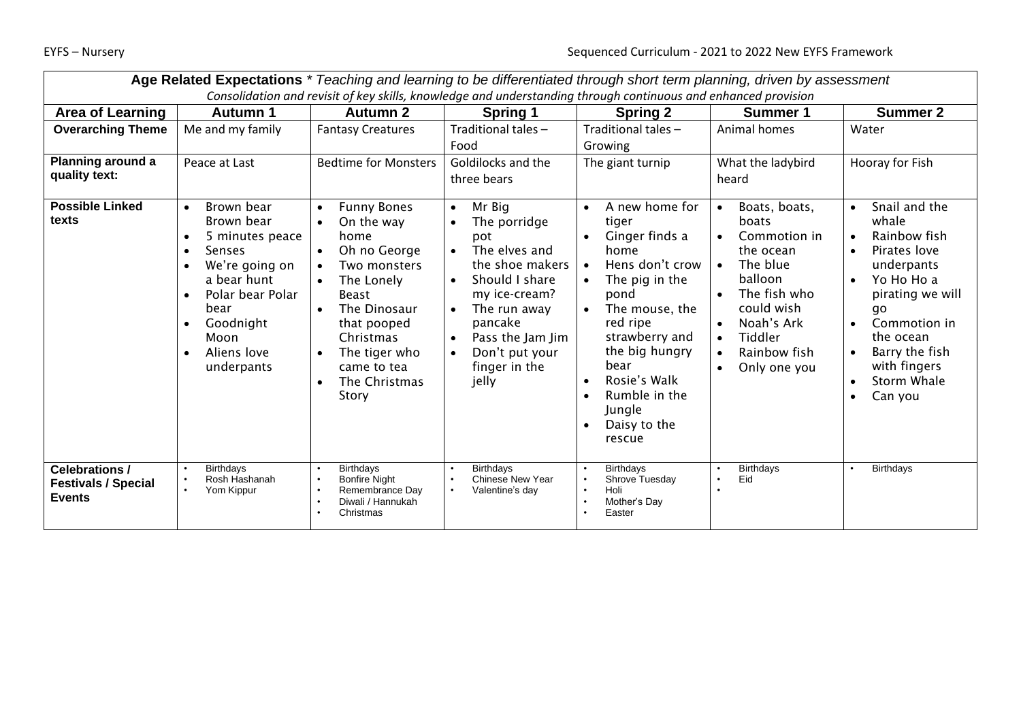| Age Related Expectations * Teaching and learning to be differentiated through short term planning, driven by assessment |                                                                                                                                                                                                                                                                        |                                                                                                                                                                                                                                                                  |                                                                                                                                                                                                                                                                  |                                                                                                                                                                                                                                                                                                                             |                                                                                                                                                                                                                                                                           |                                                                                                                                                                                                                                                                        |
|-------------------------------------------------------------------------------------------------------------------------|------------------------------------------------------------------------------------------------------------------------------------------------------------------------------------------------------------------------------------------------------------------------|------------------------------------------------------------------------------------------------------------------------------------------------------------------------------------------------------------------------------------------------------------------|------------------------------------------------------------------------------------------------------------------------------------------------------------------------------------------------------------------------------------------------------------------|-----------------------------------------------------------------------------------------------------------------------------------------------------------------------------------------------------------------------------------------------------------------------------------------------------------------------------|---------------------------------------------------------------------------------------------------------------------------------------------------------------------------------------------------------------------------------------------------------------------------|------------------------------------------------------------------------------------------------------------------------------------------------------------------------------------------------------------------------------------------------------------------------|
| Consolidation and revisit of key skills, knowledge and understanding through continuous and enhanced provision          |                                                                                                                                                                                                                                                                        |                                                                                                                                                                                                                                                                  |                                                                                                                                                                                                                                                                  |                                                                                                                                                                                                                                                                                                                             |                                                                                                                                                                                                                                                                           |                                                                                                                                                                                                                                                                        |
| <b>Area of Learning</b>                                                                                                 | <b>Autumn 1</b>                                                                                                                                                                                                                                                        | <b>Autumn 2</b>                                                                                                                                                                                                                                                  | <b>Spring 1</b>                                                                                                                                                                                                                                                  | <b>Spring 2</b>                                                                                                                                                                                                                                                                                                             | Summer 1                                                                                                                                                                                                                                                                  | <b>Summer 2</b>                                                                                                                                                                                                                                                        |
| <b>Overarching Theme</b>                                                                                                | Me and my family                                                                                                                                                                                                                                                       | <b>Fantasy Creatures</b>                                                                                                                                                                                                                                         | Traditional tales -                                                                                                                                                                                                                                              | Traditional tales -                                                                                                                                                                                                                                                                                                         | Animal homes                                                                                                                                                                                                                                                              | Water                                                                                                                                                                                                                                                                  |
|                                                                                                                         |                                                                                                                                                                                                                                                                        |                                                                                                                                                                                                                                                                  | Food                                                                                                                                                                                                                                                             | Growing                                                                                                                                                                                                                                                                                                                     |                                                                                                                                                                                                                                                                           |                                                                                                                                                                                                                                                                        |
| Planning around a                                                                                                       | Peace at Last                                                                                                                                                                                                                                                          | <b>Bedtime for Monsters</b>                                                                                                                                                                                                                                      | Goldilocks and the                                                                                                                                                                                                                                               | The giant turnip                                                                                                                                                                                                                                                                                                            | What the ladybird                                                                                                                                                                                                                                                         | Hooray for Fish                                                                                                                                                                                                                                                        |
| quality text:                                                                                                           |                                                                                                                                                                                                                                                                        |                                                                                                                                                                                                                                                                  | three bears                                                                                                                                                                                                                                                      |                                                                                                                                                                                                                                                                                                                             | heard                                                                                                                                                                                                                                                                     |                                                                                                                                                                                                                                                                        |
| <b>Possible Linked</b><br>texts                                                                                         | Brown bear<br>$\bullet$<br>Brown bear<br>5 minutes peace<br>$\bullet$<br><b>Senses</b><br>$\bullet$<br>We're going on<br>$\bullet$<br>a bear hunt<br>Polar bear Polar<br>$\bullet$<br>bear<br>Goodnight<br>$\bullet$<br>Moon<br>Aliens love<br>$\bullet$<br>underpants | <b>Funny Bones</b><br>$\bullet$<br>On the way<br>$\bullet$<br>home<br>Oh no George<br>$\bullet$<br>Two monsters<br>The Lonely<br>$\bullet$<br><b>Beast</b><br>The Dinosaur<br>that pooped<br>Christmas<br>The tiger who<br>came to tea<br>The Christmas<br>Story | Mr Big<br>$\bullet$<br>The porridge<br>$\bullet$<br>pot<br>The elves and<br>$\bullet$<br>the shoe makers<br>Should I share<br>$\bullet$<br>my ice-cream?<br>The run away<br>pancake<br>Pass the Jam Jim<br>$\bullet$<br>Don't put your<br>finger in the<br>jelly | A new home for<br>$\bullet$<br>tiger<br>Ginger finds a<br>home<br>Hens don't crow<br>$\bullet$<br>The pig in the<br>$\bullet$<br>pond<br>The mouse, the<br>red ripe<br>strawberry and<br>the big hungry<br>bear<br>Rosie's Walk<br>$\bullet$<br>Rumble in the<br>$\bullet$<br>Jungle<br>Daisy to the<br>$\bullet$<br>rescue | Boats, boats,<br>$\bullet$<br>boats<br>Commotion in<br>$\bullet$<br>the ocean<br>The blue<br>$\bullet$<br>balloon<br>The fish who<br>$\bullet$<br>could wish<br>Noah's Ark<br>$\bullet$<br>Tiddler<br>$\bullet$<br>Rainbow fish<br>$\bullet$<br>Only one you<br>$\bullet$ | Snail and the<br>$\bullet$<br>whale<br>Rainbow fish<br>Pirates love<br>$\bullet$<br>underpants<br>Yo Ho Ho a<br>$\bullet$<br>pirating we will<br>qo<br>Commotion in<br>$\bullet$<br>the ocean<br>Barry the fish<br>with fingers<br>Storm Whale<br>Can you<br>$\bullet$ |
| <b>Celebrations /</b><br><b>Festivals / Special</b><br><b>Events</b>                                                    | Birthdays<br>Rosh Hashanah<br>Yom Kippur                                                                                                                                                                                                                               | <b>Birthdays</b><br><b>Bonfire Night</b><br>Remembrance Day<br>Diwali / Hannukah<br>Christmas                                                                                                                                                                    | <b>Birthdays</b><br><b>Chinese New Year</b><br>Valentine's day                                                                                                                                                                                                   | <b>Birthdays</b><br>Shrove Tuesday<br>Holi<br>Mother's Day<br>$\bullet$<br>Easter                                                                                                                                                                                                                                           | <b>Birthdays</b><br>Eid<br>$\bullet$                                                                                                                                                                                                                                      | <b>Birthdays</b>                                                                                                                                                                                                                                                       |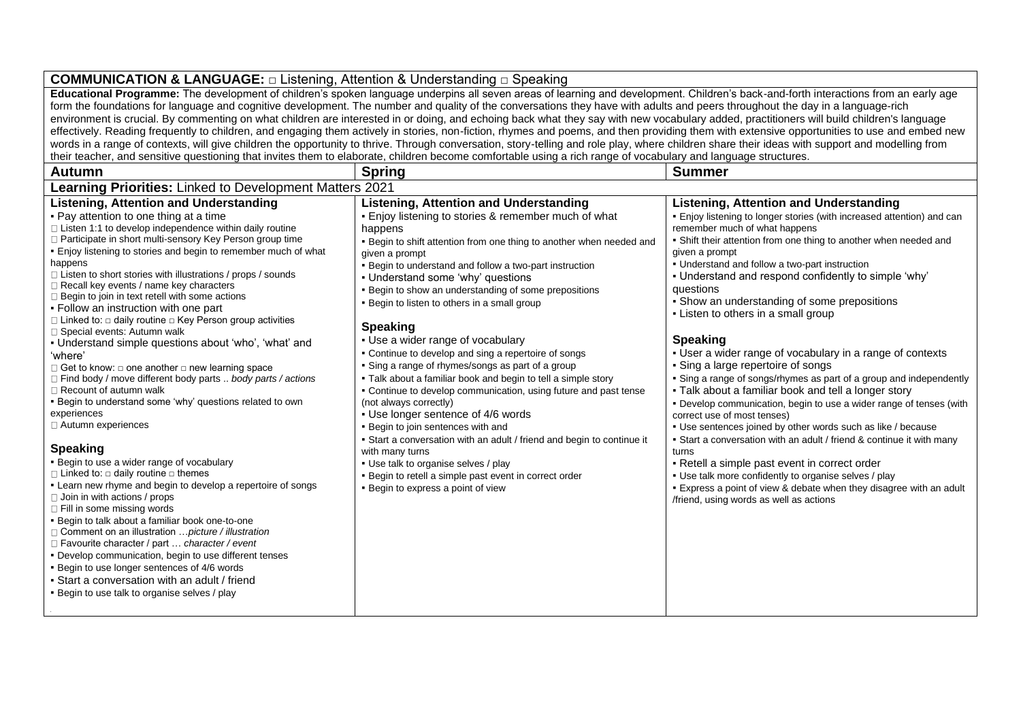### **COMMUNICATION & LANGUAGE:** □ Listening, Attention & Understanding □ Speaking **Educational Programme:** The development of children's spoken language underpins all seven areas of learning and development. Children's back-and-forth interactions from an early age form the foundations for language and cognitive development. The number and quality of the conversations they have with adults and peers throughout the day in a language-rich environment is crucial. By commenting on what children are interested in or doing, and echoing back what they say with new vocabulary added, practitioners will build children's language effectively. Reading frequently to children, and engaging them actively in stories, non-fiction, rhymes and poems, and then providing them with extensive opportunities to use and embed new

words in a range of contexts, will give children the opportunity to thrive. Through conversation, story-telling and role play, where children share their ideas with support and modelling from their teacher, and sensitive questioning that invites them to elaborate, children become comfortable using a rich range of vocabulary and language structures.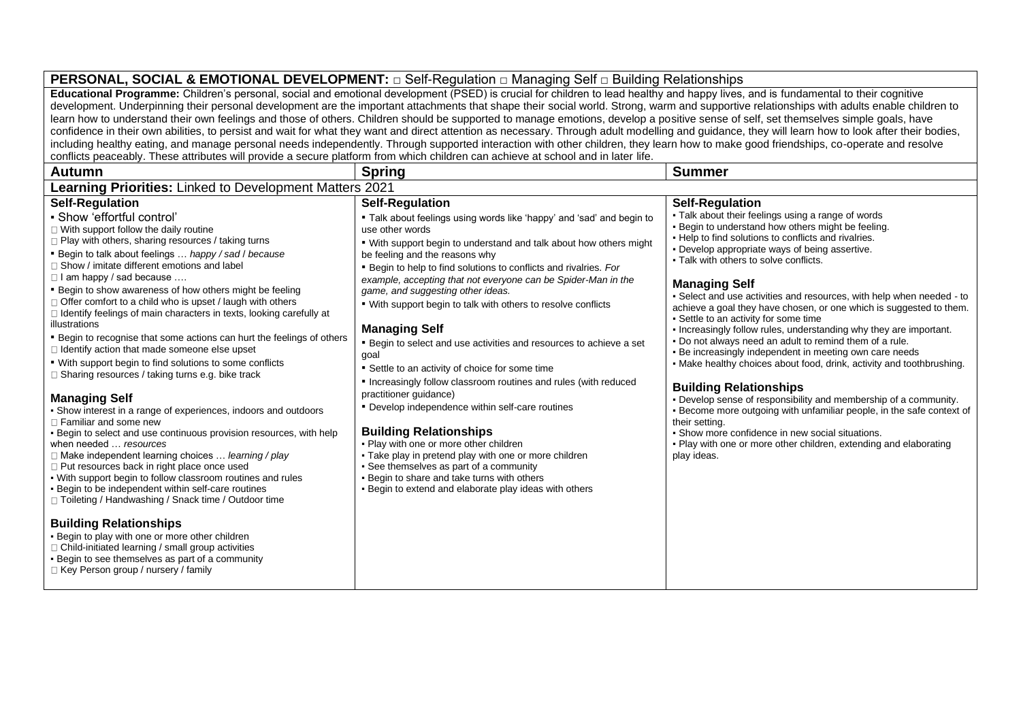# **PERSONAL, SOCIAL & EMOTIONAL DEVELOPMENT:** □ Self-Regulation □ Managing Self □ Building Relationships

**Educational Programme:** Children's personal, social and emotional development (PSED) is crucial for children to lead healthy and happy lives, and is fundamental to their cognitive development. Underpinning their personal development are the important attachments that shape their social world. Strong, warm and supportive relationships with adults enable children to learn how to understand their own feelings and those of others. Children should be supported to manage emotions, develop a positive sense of self, set themselves simple goals, have confidence in their own abilities, to persist and wait for what they want and direct attention as necessary. Through adult modelling and guidance, they will learn how to look after their bodies, including healthy eating, and manage personal needs independently. Through supported interaction with other children, they learn how to make good friendships, co-operate and resolve conflicts peaceably. These attributes will provide a secure platform from which children can achieve at school and in later life.

| <b>Autumn</b>                                                                                                                                                                                                                                                                                                                                                                                                                                                                                                                                                                                                                                                                                                                                                                                                                                                                                                                                                                                                                                                                                                                                                                                                                                                                                                                                                                                                                                                                                                                                                          | <b>Spring</b>                                                                                                                                                                                                                                                                                                                                                                                                                                                                                                                                                                                                                                                                                                                                                                                                                                                                                                                                                                                                                                                              | <b>Summer</b>                                                                                                                                                                                                                                                                                                                                                                                                                                                                                                                                                                                                                                                                                                                                                                                                                                                                                                                                                                                                                                                                                                      |
|------------------------------------------------------------------------------------------------------------------------------------------------------------------------------------------------------------------------------------------------------------------------------------------------------------------------------------------------------------------------------------------------------------------------------------------------------------------------------------------------------------------------------------------------------------------------------------------------------------------------------------------------------------------------------------------------------------------------------------------------------------------------------------------------------------------------------------------------------------------------------------------------------------------------------------------------------------------------------------------------------------------------------------------------------------------------------------------------------------------------------------------------------------------------------------------------------------------------------------------------------------------------------------------------------------------------------------------------------------------------------------------------------------------------------------------------------------------------------------------------------------------------------------------------------------------------|----------------------------------------------------------------------------------------------------------------------------------------------------------------------------------------------------------------------------------------------------------------------------------------------------------------------------------------------------------------------------------------------------------------------------------------------------------------------------------------------------------------------------------------------------------------------------------------------------------------------------------------------------------------------------------------------------------------------------------------------------------------------------------------------------------------------------------------------------------------------------------------------------------------------------------------------------------------------------------------------------------------------------------------------------------------------------|--------------------------------------------------------------------------------------------------------------------------------------------------------------------------------------------------------------------------------------------------------------------------------------------------------------------------------------------------------------------------------------------------------------------------------------------------------------------------------------------------------------------------------------------------------------------------------------------------------------------------------------------------------------------------------------------------------------------------------------------------------------------------------------------------------------------------------------------------------------------------------------------------------------------------------------------------------------------------------------------------------------------------------------------------------------------------------------------------------------------|
| Learning Priorities: Linked to Development Matters 2021                                                                                                                                                                                                                                                                                                                                                                                                                                                                                                                                                                                                                                                                                                                                                                                                                                                                                                                                                                                                                                                                                                                                                                                                                                                                                                                                                                                                                                                                                                                |                                                                                                                                                                                                                                                                                                                                                                                                                                                                                                                                                                                                                                                                                                                                                                                                                                                                                                                                                                                                                                                                            |                                                                                                                                                                                                                                                                                                                                                                                                                                                                                                                                                                                                                                                                                                                                                                                                                                                                                                                                                                                                                                                                                                                    |
| <b>Self-Regulation</b><br>- Show 'effortful control'<br>$\Box$ With support follow the daily routine<br>□ Play with others, sharing resources / taking turns<br>" Begin to talk about feelings  happy / sad / because<br>$\Box$ Show / imitate different emotions and label<br>$\Box$ I am happy / sad because<br>" Begin to show awareness of how others might be feeling<br>$\Box$ Offer comfort to a child who is upset / laugh with others<br>□ Identify feelings of main characters in texts, looking carefully at<br>illustrations<br>" Begin to recognise that some actions can hurt the feelings of others<br>$\Box$ Identify action that made someone else upset<br>. With support begin to find solutions to some conflicts<br>□ Sharing resources / taking turns e.g. bike track<br><b>Managing Self</b><br>• Show interest in a range of experiences, indoors and outdoors<br>$\Box$ Familiar and some new<br>. Begin to select and use continuous provision resources, with help<br>when needed  resources<br>$\Box$ Make independent learning choices  learning / play<br>$\Box$ Put resources back in right place once used<br>. With support begin to follow classroom routines and rules<br>- Begin to be independent within self-care routines<br>□ Toileting / Handwashing / Snack time / Outdoor time<br><b>Building Relationships</b><br>. Begin to play with one or more other children<br>□ Child-initiated learning / small group activities<br>- Begin to see themselves as part of a community<br>$\Box$ Key Person group / nursery / family | <b>Self-Regulation</b><br>" Talk about feelings using words like 'happy' and 'sad' and begin to<br>use other words<br>. With support begin to understand and talk about how others might<br>be feeling and the reasons why<br>• Begin to help to find solutions to conflicts and rivalries. For<br>example, accepting that not everyone can be Spider-Man in the<br>game, and suggesting other ideas.<br>. With support begin to talk with others to resolve conflicts<br><b>Managing Self</b><br>" Begin to select and use activities and resources to achieve a set<br>goal<br>• Settle to an activity of choice for some time<br>• Increasingly follow classroom routines and rules (with reduced<br>practitioner guidance)<br>• Develop independence within self-care routines<br><b>Building Relationships</b><br>. Play with one or more other children<br>• Take play in pretend play with one or more children<br>• See themselves as part of a community<br>. Begin to share and take turns with others<br>- Begin to extend and elaborate play ideas with others | <b>Self-Regulation</b><br>. Talk about their feelings using a range of words<br>. Begin to understand how others might be feeling.<br>. Help to find solutions to conflicts and rivalries.<br>. Develop appropriate ways of being assertive.<br>. Talk with others to solve conflicts.<br><b>Managing Self</b><br>• Select and use activities and resources, with help when needed - to<br>achieve a goal they have chosen, or one which is suggested to them.<br>• Settle to an activity for some time<br>. Increasingly follow rules, understanding why they are important.<br>. Do not always need an adult to remind them of a rule.<br>- Be increasingly independent in meeting own care needs<br>• Make healthy choices about food, drink, activity and toothbrushing.<br><b>Building Relationships</b><br>. Develop sense of responsibility and membership of a community.<br>Become more outgoing with unfamiliar people, in the safe context of<br>their setting.<br>• Show more confidence in new social situations.<br>. Play with one or more other children, extending and elaborating<br>play ideas. |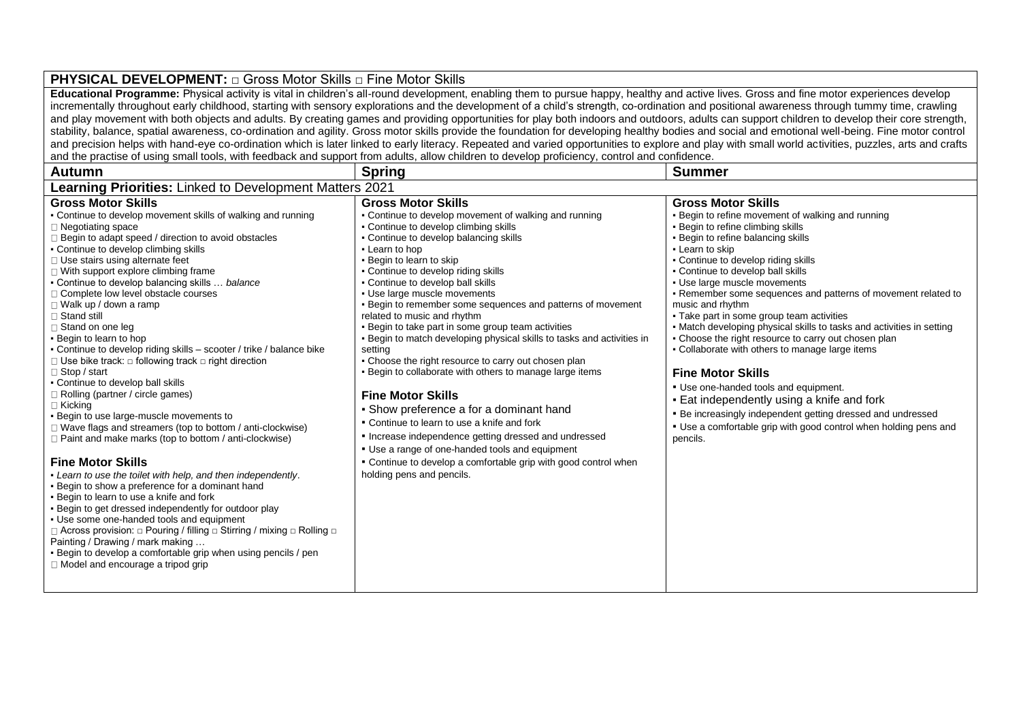#### **PHYSICAL DEVELOPMENT:** □ Gross Motor Skills □ Fine Motor Skills **Educational Programme:** Physical activity is vital in children's all-round development, enabling them to pursue happy, healthy and active lives. Gross and fine motor experiences develop incrementally throughout early childhood, starting with sensory explorations and the development of a child's strength, co-ordination and positional awareness through tummy time, crawling and play movement with both objects and adults. By creating games and providing opportunities for play both indoors and outdoors, adults can support children to develop their core strength, stability, balance, spatial awareness, co-ordination and agility. Gross motor skills provide the foundation for developing healthy bodies and social and emotional well-being. Fine motor control and precision helps with hand-eye co-ordination which is later linked to early literacy. Repeated and varied opportunities to explore and play with small world activities, puzzles, arts and crafts and the practise of using small tools, with feedback and support from adults, allow children to develop proficiency, control and confidence. Autumn | Spring | Spring | Summer | Summer | Summer | Summer | Summer | Summer | Summer | Summer | Summer | Summer **Learning Priorities:** Linked to Development Matters 2021 **Gross Motor Skills**  • Continue to develop movement skills of walking and running  $\Box$  Negotiating space  $\Box$  Begin to adapt speed / direction to avoid obstacles ▪ Continue to develop climbing skills □ Use stairs using alternate feet  $\Box$  With support explore climbing frame ▪ Continue to develop balancing skills … *balance*  □ Complete low level obstacle courses Walk up / down a ramp □ Stand still □ Stand on one leg ▪ Begin to learn to hop ▪ Continue to develop riding skills – scooter / trike / balance bike Use bike track: □ following track □ right direction Stop / start ▪ Continue to develop ball skills □ Rolling (partner / circle games) □ Kicking ▪ Begin to use large-muscle movements to Wave flags and streamers (top to bottom / anti-clockwise)  $\Box$  Paint and make marks (top to bottom / anti-clockwise) **Fine Motor Skills**  ▪ *Learn to use the toilet with help, and then independently*. **Begin to show a preference for a dominant hand .** Begin to learn to use a knife and fork **Begin to get dressed independently for outdoor play** ▪ Use some one-handed tools and equipment Across provision: □ Pouring / filling □ Stirring / mixing □ Rolling □ Painting / Drawing / mark making … • Begin to develop a comfortable grip when using pencils / pen  $\Box$  Model and encourage a tripod grip **Gross Motor Skills**  ▪ Continue to develop movement of walking and running ▪ Continue to develop climbing skills ▪ Continue to develop balancing skills ▪ Learn to hop **• Begin to learn to skip** ▪ Continue to develop riding skills • Continue to develop ball skills ▪ Use large muscle movements ▪ Begin to remember some sequences and patterns of movement related to music and rhythm **• Begin to take part in some group team activities** ▪ Begin to match developing physical skills to tasks and activities in setting • Choose the right resource to carry out chosen plan ▪ Begin to collaborate with others to manage large items **Fine Motor Skills**  ▪ Show preference a for a dominant hand ▪ Continue to learn to use a knife and fork ▪ Increase independence getting dressed and undressed ▪ Use a range of one-handed tools and equipment ▪ Continue to develop a comfortable grip with good control when holding pens and pencils. **Gross Motor Skills Begin to refine movement of walking and running Begin to refine climbing skills Begin to refine balancing skills • Learn to skip • Continue to develop riding skills** ▪ Continue to develop ball skills ▪ Use large muscle movements ▪ Remember some sequences and patterns of movement related to music and rhythm • Take part in some group team activities • Match developing physical skills to tasks and activities in setting • Choose the right resource to carry out chosen plan ▪ Collaborate with others to manage large items **Fine Motor Skills**  ▪ Use one-handed tools and equipment. **Eat independently using a knife and fork Be increasingly independent getting dressed and undressed .** Use a comfortable grip with good control when holding pens and pencils.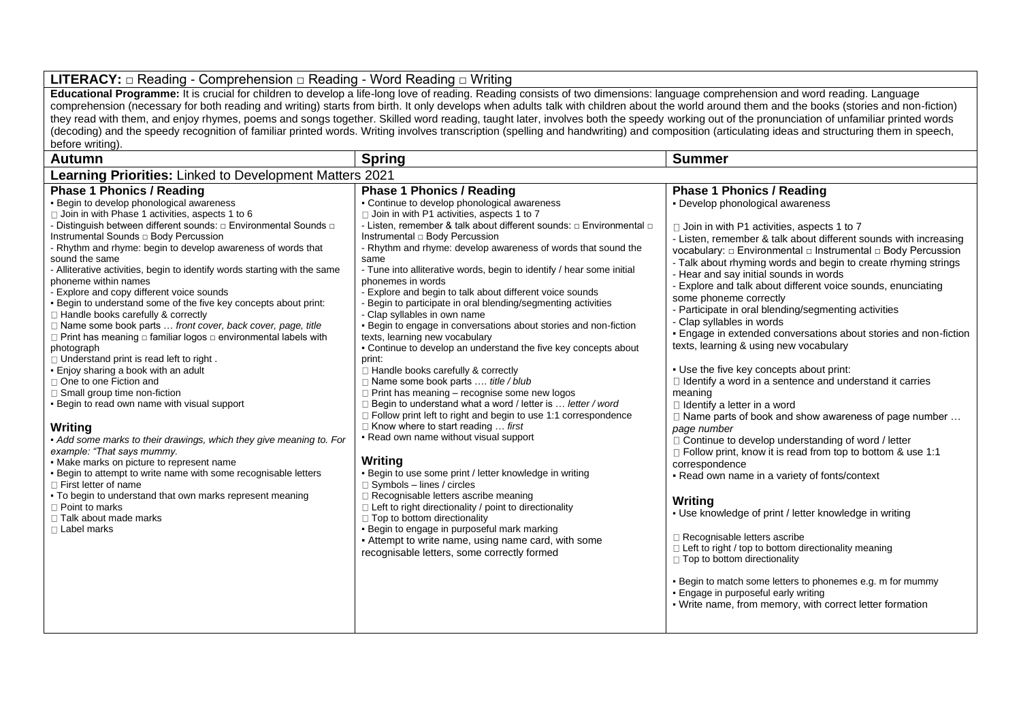## **LITERACY:** □ Reading - Comprehension □ Reading - Word Reading □ Writing

**Educational Programme:** It is crucial for children to develop a life-long love of reading. Reading consists of two dimensions: language comprehension and word reading. Language comprehension (necessary for both reading and writing) starts from birth. It only develops when adults talk with children about the world around them and the books (stories and non-fiction) they read with them, and enjoy rhymes, poems and songs together. Skilled word reading, taught later, involves both the speedy working out of the pronunciation of unfamiliar printed words (decoding) and the speedy recognition of familiar printed words. Writing involves transcription (spelling and handwriting) and composition (articulating ideas and structuring them in speech, before writing).

| <b>Autumn</b>                                                                                                                                                                                                                                                                                                                                                                                                                                                                                                                                                                                                                                                                                                                                                                                                                                                                                                                                                                                                                                                                                                                                                                                                                                                                                                                                                                     | <b>Spring</b>                                                                                                                                                                                                                                                                                                                                                                                                                                                                                                                                                                                                                                                                                                                                                                                                                                                                                                                                                                                                                                                                                                                                                                                                                                                                                                                                                                                                                                                                                                                                                      | <b>Summer</b>                                                                                                                                                                                                                                                                                                                                                                                                                                                                                                                                                                                                                                                                                                                                                                                                                                                                                                                                                                                                                                                                                                                                                                                                                                                                                                                                                                                                      |  |
|-----------------------------------------------------------------------------------------------------------------------------------------------------------------------------------------------------------------------------------------------------------------------------------------------------------------------------------------------------------------------------------------------------------------------------------------------------------------------------------------------------------------------------------------------------------------------------------------------------------------------------------------------------------------------------------------------------------------------------------------------------------------------------------------------------------------------------------------------------------------------------------------------------------------------------------------------------------------------------------------------------------------------------------------------------------------------------------------------------------------------------------------------------------------------------------------------------------------------------------------------------------------------------------------------------------------------------------------------------------------------------------|--------------------------------------------------------------------------------------------------------------------------------------------------------------------------------------------------------------------------------------------------------------------------------------------------------------------------------------------------------------------------------------------------------------------------------------------------------------------------------------------------------------------------------------------------------------------------------------------------------------------------------------------------------------------------------------------------------------------------------------------------------------------------------------------------------------------------------------------------------------------------------------------------------------------------------------------------------------------------------------------------------------------------------------------------------------------------------------------------------------------------------------------------------------------------------------------------------------------------------------------------------------------------------------------------------------------------------------------------------------------------------------------------------------------------------------------------------------------------------------------------------------------------------------------------------------------|--------------------------------------------------------------------------------------------------------------------------------------------------------------------------------------------------------------------------------------------------------------------------------------------------------------------------------------------------------------------------------------------------------------------------------------------------------------------------------------------------------------------------------------------------------------------------------------------------------------------------------------------------------------------------------------------------------------------------------------------------------------------------------------------------------------------------------------------------------------------------------------------------------------------------------------------------------------------------------------------------------------------------------------------------------------------------------------------------------------------------------------------------------------------------------------------------------------------------------------------------------------------------------------------------------------------------------------------------------------------------------------------------------------------|--|
| Learning Priorities: Linked to Development Matters 2021                                                                                                                                                                                                                                                                                                                                                                                                                                                                                                                                                                                                                                                                                                                                                                                                                                                                                                                                                                                                                                                                                                                                                                                                                                                                                                                           |                                                                                                                                                                                                                                                                                                                                                                                                                                                                                                                                                                                                                                                                                                                                                                                                                                                                                                                                                                                                                                                                                                                                                                                                                                                                                                                                                                                                                                                                                                                                                                    |                                                                                                                                                                                                                                                                                                                                                                                                                                                                                                                                                                                                                                                                                                                                                                                                                                                                                                                                                                                                                                                                                                                                                                                                                                                                                                                                                                                                                    |  |
| <b>Phase 1 Phonics / Reading</b><br>Begin to develop phonological awareness<br>□ Join in with Phase 1 activities, aspects 1 to 6<br>- Distinguish between different sounds: □ Environmental Sounds □<br>Instrumental Sounds $\Box$ Body Percussion<br>- Rhythm and rhyme: begin to develop awareness of words that<br>sound the same<br>- Alliterative activities, begin to identify words starting with the same<br>phoneme within names<br>- Explore and copy different voice sounds<br>. Begin to understand some of the five key concepts about print:<br>□ Handle books carefully & correctly<br>$\Box$ Name some book parts  front cover, back cover, page, title<br>$\Box$ Print has meaning $\Box$ familiar logos $\Box$ environmental labels with<br>photograph<br>$\Box$ Understand print is read left to right.<br>. Enjoy sharing a book with an adult<br>□ One to one Fiction and<br>$\Box$ Small group time non-fiction<br>- Begin to read own name with visual support<br>Writina<br>• Add some marks to their drawings, which they give meaning to. For<br>example: "That says mummy.<br>• Make marks on picture to represent name<br>. Begin to attempt to write name with some recognisable letters<br>□ First letter of name<br>. To begin to understand that own marks represent meaning<br>$\Box$ Point to marks<br>□ Talk about made marks<br>□ Label marks | <b>Phase 1 Phonics / Reading</b><br>• Continue to develop phonological awareness<br>□ Join in with P1 activities, aspects 1 to 7<br>- Listen, remember & talk about different sounds: $\Box$ Environmental $\Box$<br>Instrumental $\Box$ Body Percussion<br>- Rhythm and rhyme: develop awareness of words that sound the<br>same<br>- Tune into alliterative words, begin to identify / hear some initial<br>phonemes in words<br>- Explore and begin to talk about different voice sounds<br>Begin to participate in oral blending/segmenting activities<br>- Clap syllables in own name<br>. Begin to engage in conversations about stories and non-fiction<br>texts, learning new vocabulary<br>. Continue to develop an understand the five key concepts about<br>print:<br>Handle books carefully & correctly<br>□ Name some book parts  title / blub<br>$\Box$ Print has meaning – recognise some new logos<br>□ Begin to understand what a word / letter is  letter / word<br>$\Box$ Follow print left to right and begin to use 1:1 correspondence<br>$\Box$ Know where to start reading  first<br>- Read own name without visual support<br>Writing<br>. Begin to use some print / letter knowledge in writing<br>$\Box$ Symbols - lines / circles<br>Recognisable letters ascribe meaning<br>$\Box$ Left to right directionality / point to directionality<br>$\Box$ Top to bottom directionality<br>. Begin to engage in purposeful mark marking<br>- Attempt to write name, using name card, with some<br>recognisable letters, some correctly formed | <b>Phase 1 Phonics / Reading</b><br>- Develop phonological awareness<br>$\Box$ Join in with P1 activities, aspects 1 to 7<br>- Listen, remember & talk about different sounds with increasing<br>vocabulary: □ Environmental □ Instrumental □ Body Percussion<br>- Talk about rhyming words and begin to create rhyming strings<br>- Hear and say initial sounds in words<br>- Explore and talk about different voice sounds, enunciating<br>some phoneme correctly<br>- Participate in oral blending/segmenting activities<br>- Clap syllables in words<br>- Engage in extended conversations about stories and non-fiction<br>texts, learning & using new vocabulary<br>- Use the five key concepts about print:<br>$\Box$ Identify a word in a sentence and understand it carries<br>meaning<br>I Identify a letter in a word<br>□ Name parts of book and show awareness of page number<br>page number<br>□ Continue to develop understanding of word / letter<br>□ Follow print, know it is read from top to bottom & use 1:1<br>correspondence<br>- Read own name in a variety of fonts/context<br>Writing<br>• Use knowledge of print / letter knowledge in writing<br>□ Recognisable letters ascribe<br>□ Left to right / top to bottom directionality meaning<br>$\Box$ Top to bottom directionality<br>. Begin to match some letters to phonemes e.g. m for mummy<br>. Engage in purposeful early writing |  |
|                                                                                                                                                                                                                                                                                                                                                                                                                                                                                                                                                                                                                                                                                                                                                                                                                                                                                                                                                                                                                                                                                                                                                                                                                                                                                                                                                                                   |                                                                                                                                                                                                                                                                                                                                                                                                                                                                                                                                                                                                                                                                                                                                                                                                                                                                                                                                                                                                                                                                                                                                                                                                                                                                                                                                                                                                                                                                                                                                                                    | • Write name, from memory, with correct letter formation                                                                                                                                                                                                                                                                                                                                                                                                                                                                                                                                                                                                                                                                                                                                                                                                                                                                                                                                                                                                                                                                                                                                                                                                                                                                                                                                                           |  |
|                                                                                                                                                                                                                                                                                                                                                                                                                                                                                                                                                                                                                                                                                                                                                                                                                                                                                                                                                                                                                                                                                                                                                                                                                                                                                                                                                                                   |                                                                                                                                                                                                                                                                                                                                                                                                                                                                                                                                                                                                                                                                                                                                                                                                                                                                                                                                                                                                                                                                                                                                                                                                                                                                                                                                                                                                                                                                                                                                                                    |                                                                                                                                                                                                                                                                                                                                                                                                                                                                                                                                                                                                                                                                                                                                                                                                                                                                                                                                                                                                                                                                                                                                                                                                                                                                                                                                                                                                                    |  |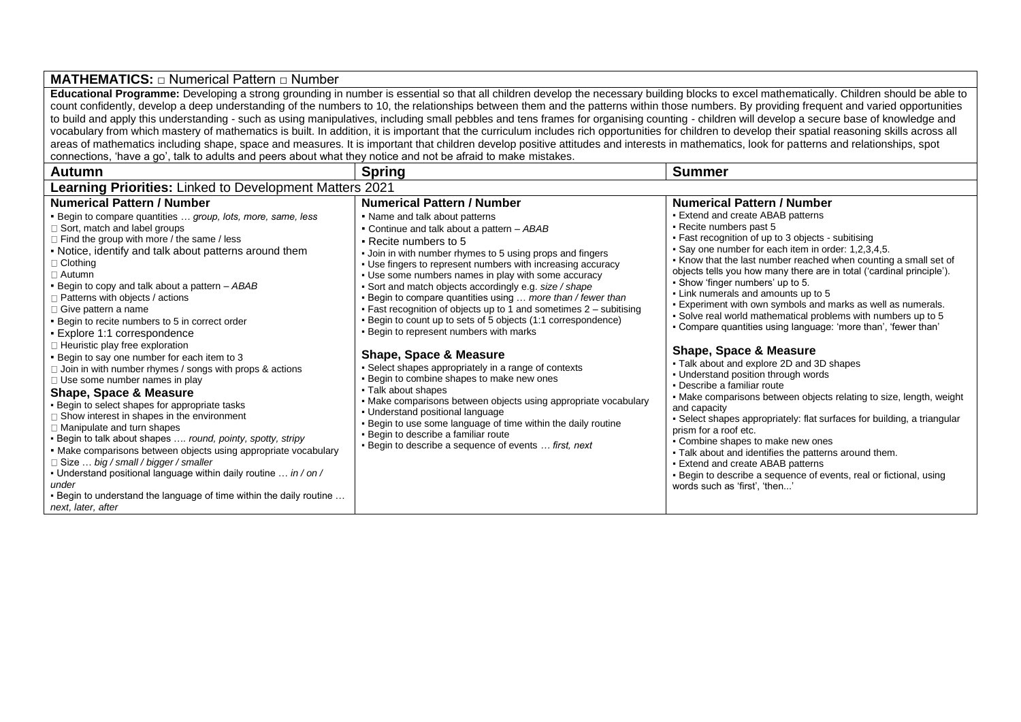### **MATHEMATICS:** □ Numerical Pattern □ Number

**Educational Programme:** Developing a strong grounding in number is essential so that all children develop the necessary building blocks to excel mathematically. Children should be able to count confidently, develop a deep understanding of the numbers to 10, the relationships between them and the patterns within those numbers. By providing frequent and varied opportunities to build and apply this understanding - such as using manipulatives, including small pebbles and tens frames for organising counting - children will develop a secure base of knowledge and vocabulary from which mastery of mathematics is built. In addition, it is important that the curriculum includes rich opportunities for children to develop their spatial reasoning skills across all areas of mathematics including shape, space and measures. It is important that children develop positive attitudes and interests in mathematics, look for patterns and relationships, spot connections, 'have a go', talk to adults and peers about what they notice and not be afraid to make mistakes.

| <b>Autumn</b>                                                                                                                                                                                                                                                                                                                                                                                                                                                                                                                                                                                                                                                                                                                                                                                                                                                                                                                                                                                                                                                                                                                                                                                                            | <b>Spring</b>                                                                                                                                                                                                                                                                                                                                                                                                                                                                                                                                                                                                                                                                                                                                                                                                                                                                                                                                                                                                                                                                         | <b>Summer</b>                                                                                                                                                                                                                                                                                                                                                                                                                                                                                                                                                                                                                                                                                                                                                                                                                                                                                                                                                                                                                                                                                                                                                                                                                                |  |
|--------------------------------------------------------------------------------------------------------------------------------------------------------------------------------------------------------------------------------------------------------------------------------------------------------------------------------------------------------------------------------------------------------------------------------------------------------------------------------------------------------------------------------------------------------------------------------------------------------------------------------------------------------------------------------------------------------------------------------------------------------------------------------------------------------------------------------------------------------------------------------------------------------------------------------------------------------------------------------------------------------------------------------------------------------------------------------------------------------------------------------------------------------------------------------------------------------------------------|---------------------------------------------------------------------------------------------------------------------------------------------------------------------------------------------------------------------------------------------------------------------------------------------------------------------------------------------------------------------------------------------------------------------------------------------------------------------------------------------------------------------------------------------------------------------------------------------------------------------------------------------------------------------------------------------------------------------------------------------------------------------------------------------------------------------------------------------------------------------------------------------------------------------------------------------------------------------------------------------------------------------------------------------------------------------------------------|----------------------------------------------------------------------------------------------------------------------------------------------------------------------------------------------------------------------------------------------------------------------------------------------------------------------------------------------------------------------------------------------------------------------------------------------------------------------------------------------------------------------------------------------------------------------------------------------------------------------------------------------------------------------------------------------------------------------------------------------------------------------------------------------------------------------------------------------------------------------------------------------------------------------------------------------------------------------------------------------------------------------------------------------------------------------------------------------------------------------------------------------------------------------------------------------------------------------------------------------|--|
| <b>Learning Priorities:</b> Linked to Development Matters 2021                                                                                                                                                                                                                                                                                                                                                                                                                                                                                                                                                                                                                                                                                                                                                                                                                                                                                                                                                                                                                                                                                                                                                           |                                                                                                                                                                                                                                                                                                                                                                                                                                                                                                                                                                                                                                                                                                                                                                                                                                                                                                                                                                                                                                                                                       |                                                                                                                                                                                                                                                                                                                                                                                                                                                                                                                                                                                                                                                                                                                                                                                                                                                                                                                                                                                                                                                                                                                                                                                                                                              |  |
| <b>Numerical Pattern / Number</b><br><b>Begin to compare quantities  group, lots, more, same, less</b><br>□ Sort, match and label groups<br>Find the group with more / the same / less<br>. Notice, identify and talk about patterns around them<br>∃ Clothing<br>□ Autumn<br>. Begin to copy and talk about a pattern - ABAB<br>Patterns with objects / actions<br>Give pattern a name<br>. Begin to recite numbers to 5 in correct order<br>· Explore 1:1 correspondence<br>□ Heuristic play free exploration<br>. Begin to say one number for each item to 3<br>$\Box$ Join in with number rhymes / songs with props & actions<br>$\Box$ Use some number names in play<br><b>Shape, Space &amp; Measure</b><br>. Begin to select shapes for appropriate tasks<br>$\Box$ Show interest in shapes in the environment<br>□ Manipulate and turn shapes<br>- Begin to talk about shapes  round, pointy, spotty, stripy<br>• Make comparisons between objects using appropriate vocabulary<br>$\Box$ Size $\ldots$ big / small / bigger / smaller<br>- Understand positional language within daily routine  in / on /<br>under<br>. Begin to understand the language of time within the daily routine<br>next, later, after | <b>Numerical Pattern / Number</b><br>• Name and talk about patterns<br>• Continue and talk about a pattern - ABAB<br>• Recite numbers to 5<br>. Join in with number rhymes to 5 using props and fingers<br>. Use fingers to represent numbers with increasing accuracy<br>. Use some numbers names in play with some accuracy<br>• Sort and match objects accordingly e.g. size / shape<br>. Begin to compare quantities using  more than / fewer than<br>• Fast recognition of objects up to 1 and sometimes $2 -$ subitising<br>. Begin to count up to sets of 5 objects (1:1 correspondence)<br>. Begin to represent numbers with marks<br><b>Shape, Space &amp; Measure</b><br>• Select shapes appropriately in a range of contexts<br>. Begin to combine shapes to make new ones<br>• Talk about shapes<br>• Make comparisons between objects using appropriate vocabulary<br>• Understand positional language<br>. Begin to use some language of time within the daily routine<br>. Begin to describe a familiar route<br>. Begin to describe a sequence of events  first, next | <b>Numerical Pattern / Number</b><br><b>Extend and create ABAB patterns</b><br>- Recite numbers past 5<br>• Fast recognition of up to 3 objects - subitising<br>. Say one number for each item in order: 1,2,3,4,5.<br>. Know that the last number reached when counting a small set of<br>objects tells you how many there are in total ('cardinal principle').<br>• Show 'finger numbers' up to 5.<br>• Link numerals and amounts up to 5<br>Experiment with own symbols and marks as well as numerals.<br>. Solve real world mathematical problems with numbers up to 5<br>• Compare quantities using language: 'more than', 'fewer than'<br><b>Shape, Space &amp; Measure</b><br>• Talk about and explore 2D and 3D shapes<br>• Understand position through words<br>• Describe a familiar route<br>• Make comparisons between objects relating to size, length, weight<br>and capacity<br>• Select shapes appropriately: flat surfaces for building, a triangular<br>prism for a roof etc.<br>• Combine shapes to make new ones<br>. Talk about and identifies the patterns around them.<br><b>Extend and create ABAB patterns</b><br>Begin to describe a sequence of events, real or fictional, using<br>words such as 'first', 'then' |  |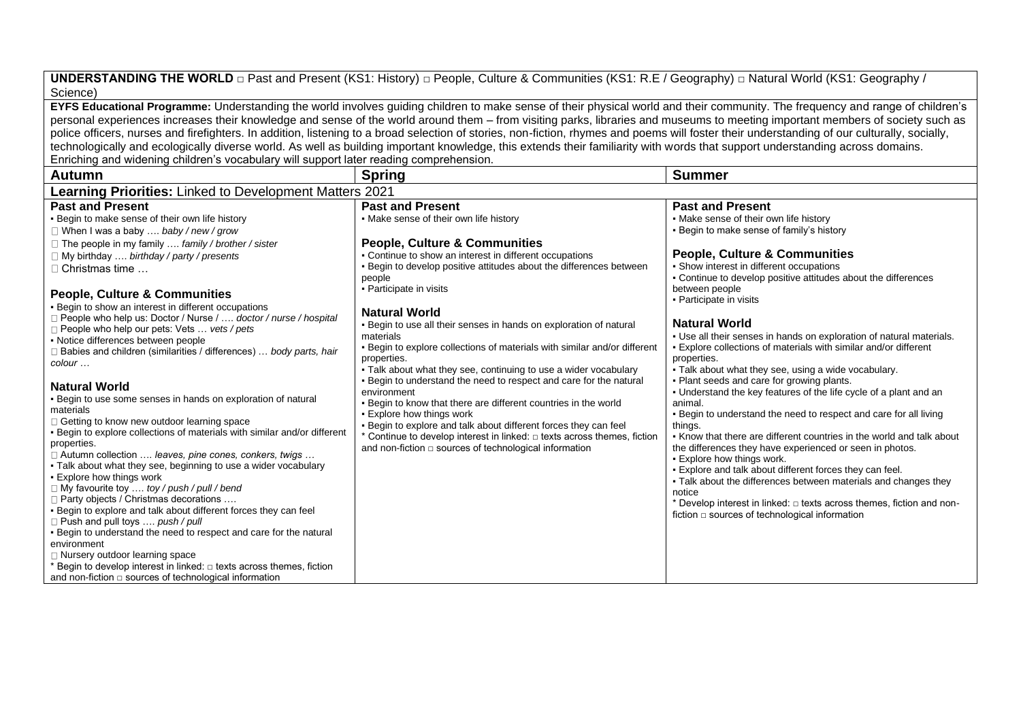**UNDERSTANDING THE WORLD □** Past and Present (KS1: History) **□** People, Culture & Communities (KS1: R.E / Geography) **□** Natural World (KS1: Geography / Science)

**EYFS Educational Programme:** Understanding the world involves guiding children to make sense of their physical world and their community. The frequency and range of children's personal experiences increases their knowledge and sense of the world around them – from visiting parks, libraries and museums to meeting important members of society such as police officers, nurses and firefighters. In addition, listening to a broad selection of stories, non-fiction, rhymes and poems will foster their understanding of our culturally, socially, technologically and ecologically diverse world. As well as building important knowledge, this extends their familiarity with words that support understanding across domains. Enriching and widening children's vocabulary will support later reading comprehension.

| <b>Autumn</b>                                                                                                                                                                                                                                                                                                                                                                                                                                                                                                                                                                                                                                                                                                                                                                                                                                                                                                                                                                                                                                                                                                                                                                                                                                                                                                                                                                                                                                              | <b>Spring</b>                                                                                                                                                                                                                                                                                                                                                                                                                                                                                                                                                                                                                                                                                                                                                                                                                                                                                                                                                            | <b>Summer</b>                                                                                                                                                                                                                                                                                                                                                                                                                                                                                                                                                                                                                                                                                                                                                                                                                                                                                                                                                                                                                                                                                                                                                                                                                      |  |
|------------------------------------------------------------------------------------------------------------------------------------------------------------------------------------------------------------------------------------------------------------------------------------------------------------------------------------------------------------------------------------------------------------------------------------------------------------------------------------------------------------------------------------------------------------------------------------------------------------------------------------------------------------------------------------------------------------------------------------------------------------------------------------------------------------------------------------------------------------------------------------------------------------------------------------------------------------------------------------------------------------------------------------------------------------------------------------------------------------------------------------------------------------------------------------------------------------------------------------------------------------------------------------------------------------------------------------------------------------------------------------------------------------------------------------------------------------|--------------------------------------------------------------------------------------------------------------------------------------------------------------------------------------------------------------------------------------------------------------------------------------------------------------------------------------------------------------------------------------------------------------------------------------------------------------------------------------------------------------------------------------------------------------------------------------------------------------------------------------------------------------------------------------------------------------------------------------------------------------------------------------------------------------------------------------------------------------------------------------------------------------------------------------------------------------------------|------------------------------------------------------------------------------------------------------------------------------------------------------------------------------------------------------------------------------------------------------------------------------------------------------------------------------------------------------------------------------------------------------------------------------------------------------------------------------------------------------------------------------------------------------------------------------------------------------------------------------------------------------------------------------------------------------------------------------------------------------------------------------------------------------------------------------------------------------------------------------------------------------------------------------------------------------------------------------------------------------------------------------------------------------------------------------------------------------------------------------------------------------------------------------------------------------------------------------------|--|
| Learning Priorities: Linked to Development Matters 2021                                                                                                                                                                                                                                                                                                                                                                                                                                                                                                                                                                                                                                                                                                                                                                                                                                                                                                                                                                                                                                                                                                                                                                                                                                                                                                                                                                                                    |                                                                                                                                                                                                                                                                                                                                                                                                                                                                                                                                                                                                                                                                                                                                                                                                                                                                                                                                                                          |                                                                                                                                                                                                                                                                                                                                                                                                                                                                                                                                                                                                                                                                                                                                                                                                                                                                                                                                                                                                                                                                                                                                                                                                                                    |  |
| <b>Past and Present</b><br>. Begin to make sense of their own life history<br>$\Box$ When I was a baby  baby / new / grow<br>$\Box$ The people in my family  family / brother / sister<br>$\Box$ My birthday  birthday / party / presents<br>$\Box$ Christmas time<br><b>People, Culture &amp; Communities</b><br>- Begin to show an interest in different occupations<br>□ People who help us: Doctor / Nurse /  doctor / nurse / hospital<br>$\Box$ People who help our pets: Vets  vets / pets<br>• Notice differences between people<br>□ Babies and children (similarities / differences)  body parts, hair<br>colour<br><b>Natural World</b><br>. Begin to use some senses in hands on exploration of natural<br>materials<br>□ Getting to know new outdoor learning space<br>- Begin to explore collections of materials with similar and/or different<br>properties.<br>□ Autumn collection  leaves, pine cones, conkers, twigs<br>. Talk about what they see, beginning to use a wider vocabulary<br>- Explore how things work<br>□ My favourite toy  toy / push / pull / bend<br>□ Party objects / Christmas decorations<br>- Begin to explore and talk about different forces they can feel<br>$\Box$ Push and pull toys  push / pull<br>. Begin to understand the need to respect and care for the natural<br>environment<br>$\Box$ Nursery outdoor learning space<br>Begin to develop interest in linked: $\Box$ texts across themes, fiction | <b>Past and Present</b><br>• Make sense of their own life history<br><b>People, Culture &amp; Communities</b><br>• Continue to show an interest in different occupations<br>. Begin to develop positive attitudes about the differences between<br>people<br>• Participate in visits<br><b>Natural World</b><br>. Begin to use all their senses in hands on exploration of natural<br>materials<br>. Begin to explore collections of materials with similar and/or different<br>properties.<br>• Talk about what they see, continuing to use a wider vocabulary<br>. Begin to understand the need to respect and care for the natural<br>environment<br>. Begin to know that there are different countries in the world<br>• Explore how things work<br>. Begin to explore and talk about different forces they can feel<br>* Continue to develop interest in linked: $\Box$ texts across themes, fiction<br>and non-fiction $\Box$ sources of technological information | <b>Past and Present</b><br>. Make sense of their own life history<br>. Begin to make sense of family's history<br><b>People, Culture &amp; Communities</b><br>• Show interest in different occupations<br>• Continue to develop positive attitudes about the differences<br>between people<br>• Participate in visits<br><b>Natural World</b><br>. Use all their senses in hands on exploration of natural materials.<br>- Explore collections of materials with similar and/or different<br>properties.<br>. Talk about what they see, using a wide vocabulary.<br>. Plant seeds and care for growing plants.<br>• Understand the key features of the life cycle of a plant and an<br>animal.<br>. Begin to understand the need to respect and care for all living<br>things.<br>. Know that there are different countries in the world and talk about<br>the differences they have experienced or seen in photos.<br>• Explore how things work.<br>. Explore and talk about different forces they can feel.<br>• Talk about the differences between materials and changes they<br>notice<br>* Develop interest in linked: $\Box$ texts across themes, fiction and non-<br>fiction $\square$ sources of technological information |  |
| and non-fiction $\square$ sources of technological information                                                                                                                                                                                                                                                                                                                                                                                                                                                                                                                                                                                                                                                                                                                                                                                                                                                                                                                                                                                                                                                                                                                                                                                                                                                                                                                                                                                             |                                                                                                                                                                                                                                                                                                                                                                                                                                                                                                                                                                                                                                                                                                                                                                                                                                                                                                                                                                          |                                                                                                                                                                                                                                                                                                                                                                                                                                                                                                                                                                                                                                                                                                                                                                                                                                                                                                                                                                                                                                                                                                                                                                                                                                    |  |